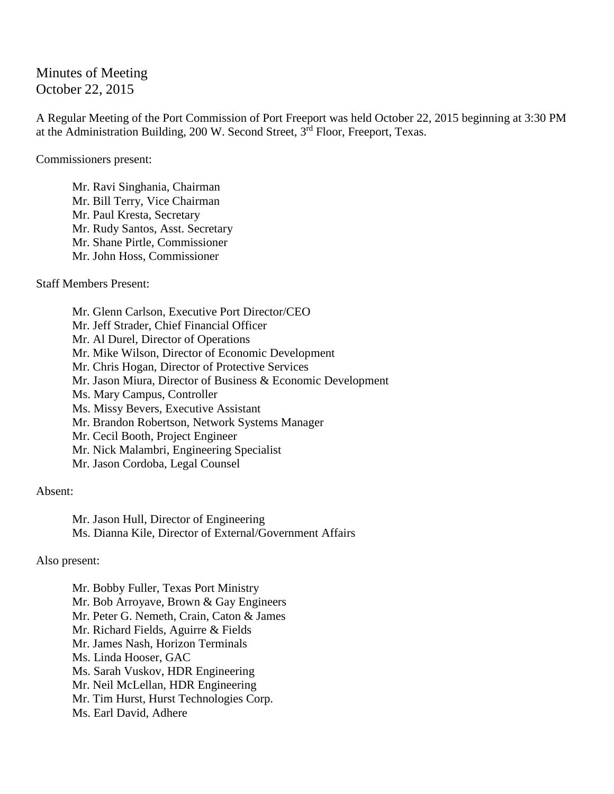Minutes of Meeting October 22, 2015

A Regular Meeting of the Port Commission of Port Freeport was held October 22, 2015 beginning at 3:30 PM at the Administration Building, 200 W. Second Street, 3rd Floor, Freeport, Texas.

Commissioners present:

Mr. Ravi Singhania, Chairman Mr. Bill Terry, Vice Chairman Mr. Paul Kresta, Secretary Mr. Rudy Santos, Asst. Secretary Mr. Shane Pirtle, Commissioner Mr. John Hoss, Commissioner

Staff Members Present:

Mr. Glenn Carlson, Executive Port Director/CEO Mr. Jeff Strader, Chief Financial Officer Mr. Al Durel, Director of Operations Mr. Mike Wilson, Director of Economic Development Mr. Chris Hogan, Director of Protective Services Mr. Jason Miura, Director of Business & Economic Development Ms. Mary Campus, Controller Ms. Missy Bevers, Executive Assistant Mr. Brandon Robertson, Network Systems Manager Mr. Cecil Booth, Project Engineer Mr. Nick Malambri, Engineering Specialist Mr. Jason Cordoba, Legal Counsel

Absent:

Mr. Jason Hull, Director of Engineering Ms. Dianna Kile, Director of External/Government Affairs

Also present:

Mr. Bobby Fuller, Texas Port Ministry Mr. Bob Arroyave, Brown & Gay Engineers Mr. Peter G. Nemeth, Crain, Caton & James Mr. Richard Fields, Aguirre & Fields Mr. James Nash, Horizon Terminals Ms. Linda Hooser, GAC Ms. Sarah Vuskov, HDR Engineering Mr. Neil McLellan, HDR Engineering Mr. Tim Hurst, Hurst Technologies Corp. Ms. Earl David, Adhere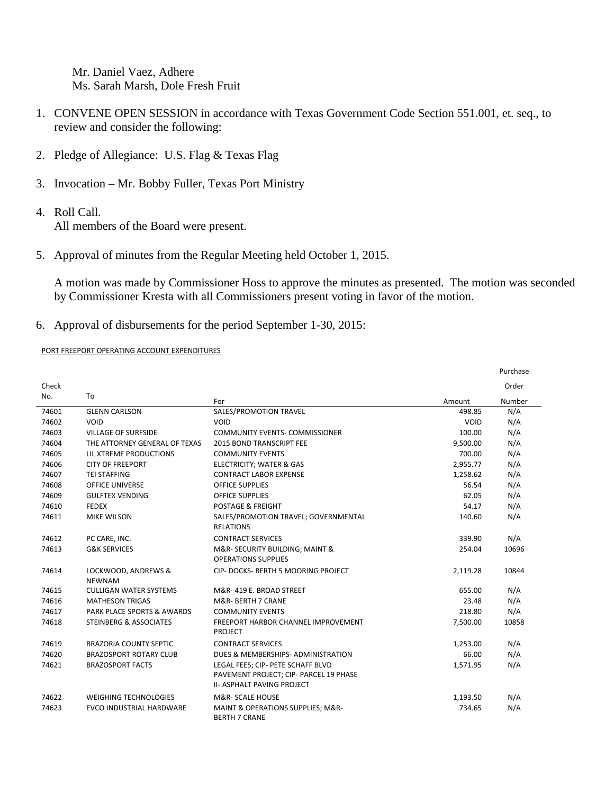Mr. Daniel Vaez, Adhere Ms. Sarah Marsh, Dole Fresh Fruit

- 1. CONVENE OPEN SESSION in accordance with Texas Government Code Section 551.001, et. seq., to review and consider the following:
- 2. Pledge of Allegiance: U.S. Flag & Texas Flag
- 3. Invocation Mr. Bobby Fuller, Texas Port Ministry
- 4. Roll Call. All members of the Board were present.
- 5. Approval of minutes from the Regular Meeting held October 1, 2015.

A motion was made by Commissioner Hoss to approve the minutes as presented. The motion was seconded by Commissioner Kresta with all Commissioners present voting in favor of the motion.

6. Approval of disbursements for the period September 1-30, 2015:

PORT FREEPORT OPERATING ACCOUNT EXPENDITURES

|       |                                       |                                                                                                                  |          | Purchase |
|-------|---------------------------------------|------------------------------------------------------------------------------------------------------------------|----------|----------|
| Check |                                       |                                                                                                                  |          | Order    |
| No.   | To                                    | For                                                                                                              | Amount   | Number   |
| 74601 | <b>GLENN CARLSON</b>                  | SALES/PROMOTION TRAVEL                                                                                           | 498.85   | N/A      |
| 74602 | VOID                                  | VOID                                                                                                             | VOID     | N/A      |
| 74603 | <b>VILLAGE OF SURFSIDE</b>            | <b>COMMUNITY EVENTS- COMMISSIONER</b>                                                                            | 100.00   | N/A      |
| 74604 | THE ATTORNEY GENERAL OF TEXAS         | <b>2015 BOND TRANSCRIPT FEE</b>                                                                                  | 9,500.00 | N/A      |
| 74605 | LIL XTREME PRODUCTIONS                | <b>COMMUNITY EVENTS</b>                                                                                          | 700.00   | N/A      |
| 74606 | <b>CITY OF FREEPORT</b>               | ELECTRICITY; WATER & GAS                                                                                         | 2,955.77 | N/A      |
| 74607 | <b>TEI STAFFING</b>                   | <b>CONTRACT LABOR EXPENSE</b>                                                                                    | 1,258.62 | N/A      |
| 74608 | <b>OFFICE UNIVERSE</b>                | <b>OFFICE SUPPLIES</b>                                                                                           | 56.54    | N/A      |
| 74609 | <b>GULFTEX VENDING</b>                | <b>OFFICE SUPPLIES</b>                                                                                           | 62.05    | N/A      |
| 74610 | <b>FEDEX</b>                          | <b>POSTAGE &amp; FREIGHT</b>                                                                                     | 54.17    | N/A      |
| 74611 | <b>MIKE WILSON</b>                    | SALES/PROMOTION TRAVEL; GOVERNMENTAL<br><b>RELATIONS</b>                                                         | 140.60   | N/A      |
| 74612 | PC CARE, INC.                         | <b>CONTRACT SERVICES</b>                                                                                         | 339.90   | N/A      |
| 74613 | <b>G&amp;K SERVICES</b>               | M&R- SECURITY BUILDING; MAINT &<br><b>OPERATIONS SUPPLIES</b>                                                    | 254.04   | 10696    |
| 74614 | LOCKWOOD, ANDREWS &<br><b>NEWNAM</b>  | CIP-DOCKS-BERTH 5 MOORING PROJECT                                                                                | 2,119.28 | 10844    |
| 74615 | <b>CULLIGAN WATER SYSTEMS</b>         | M&R-419 E. BROAD STREET                                                                                          | 655.00   | N/A      |
| 74616 | <b>MATHESON TRIGAS</b>                | M&R- BERTH 7 CRANE                                                                                               | 23.48    | N/A      |
| 74617 | <b>PARK PLACE SPORTS &amp; AWARDS</b> | <b>COMMUNITY EVENTS</b>                                                                                          | 218.80   | N/A      |
| 74618 | STEINBERG & ASSOCIATES                | <b>FREEPORT HARBOR CHANNEL IMPROVEMENT</b><br><b>PROJECT</b>                                                     | 7,500.00 | 10858    |
| 74619 | <b>BRAZORIA COUNTY SEPTIC</b>         | <b>CONTRACT SERVICES</b>                                                                                         | 1,253.00 | N/A      |
| 74620 | <b>BRAZOSPORT ROTARY CLUB</b>         | DUES & MEMBERSHIPS- ADMINISTRATION                                                                               | 66.00    | N/A      |
| 74621 | <b>BRAZOSPORT FACTS</b>               | LEGAL FEES: CIP- PETE SCHAFF BLVD<br>PAVEMENT PROJECT; CIP- PARCEL 19 PHASE<br><b>II- ASPHALT PAVING PROJECT</b> | 1,571.95 | N/A      |
| 74622 | <b>WEIGHING TECHNOLOGIES</b>          | M&R- SCALE HOUSE                                                                                                 | 1,193.50 | N/A      |
| 74623 | <b>EVCO INDUSTRIAL HARDWARE</b>       | MAINT & OPERATIONS SUPPLIES; M&R-<br><b>BERTH 7 CRANE</b>                                                        | 734.65   | N/A      |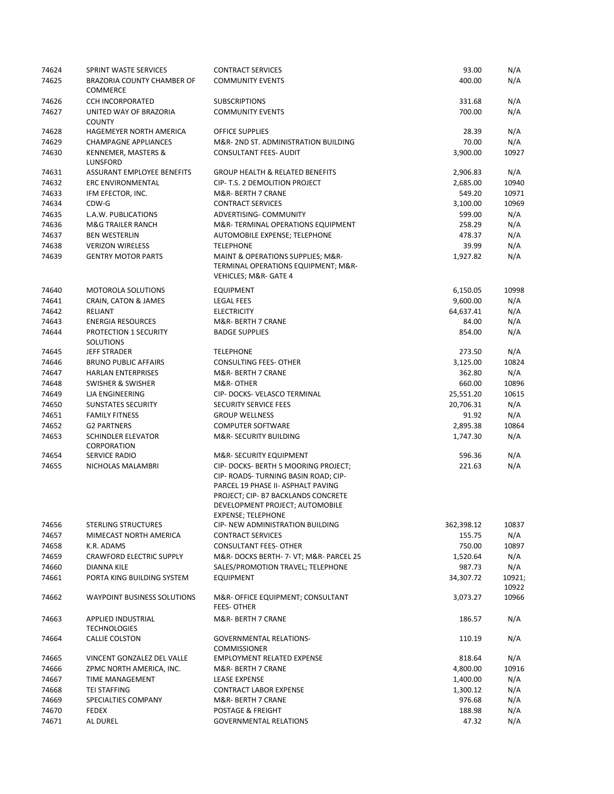| 74624 | SPRINT WASTE SERVICES                     | <b>CONTRACT SERVICES</b>                                                                                                                                                                                         | 93.00      | N/A             |
|-------|-------------------------------------------|------------------------------------------------------------------------------------------------------------------------------------------------------------------------------------------------------------------|------------|-----------------|
| 74625 | BRAZORIA COUNTY CHAMBER OF<br>COMMERCE    | <b>COMMUNITY EVENTS</b>                                                                                                                                                                                          | 400.00     | N/A             |
| 74626 | <b>CCH INCORPORATED</b>                   | <b>SUBSCRIPTIONS</b>                                                                                                                                                                                             | 331.68     | N/A             |
| 74627 | UNITED WAY OF BRAZORIA<br><b>COUNTY</b>   | <b>COMMUNITY EVENTS</b>                                                                                                                                                                                          | 700.00     | N/A             |
| 74628 | HAGEMEYER NORTH AMERICA                   | <b>OFFICE SUPPLIES</b>                                                                                                                                                                                           | 28.39      | N/A             |
| 74629 | <b>CHAMPAGNE APPLIANCES</b>               | M&R-2ND ST. ADMINISTRATION BUILDING                                                                                                                                                                              | 70.00      | N/A             |
| 74630 | KENNEMER, MASTERS &<br>LUNSFORD           | <b>CONSULTANT FEES- AUDIT</b>                                                                                                                                                                                    | 3,900.00   | 10927           |
| 74631 | ASSURANT EMPLOYEE BENEFITS                | <b>GROUP HEALTH &amp; RELATED BENEFITS</b>                                                                                                                                                                       | 2,906.83   | N/A             |
| 74632 | <b>ERC ENVIRONMENTAL</b>                  | CIP- T.S. 2 DEMOLITION PROJECT                                                                                                                                                                                   | 2,685.00   | 10940           |
| 74633 | IFM EFECTOR, INC.                         | M&R- BERTH 7 CRANE                                                                                                                                                                                               | 549.20     | 10971           |
| 74634 | CDW-G                                     | <b>CONTRACT SERVICES</b>                                                                                                                                                                                         | 3,100.00   | 10969           |
| 74635 | L.A.W. PUBLICATIONS                       | ADVERTISING- COMMUNITY                                                                                                                                                                                           | 599.00     | N/A             |
| 74636 | <b>M&amp;G TRAILER RANCH</b>              | M&R-TERMINAL OPERATIONS EQUIPMENT                                                                                                                                                                                | 258.29     | N/A             |
| 74637 | <b>BEN WESTERLIN</b>                      | AUTOMOBILE EXPENSE; TELEPHONE                                                                                                                                                                                    | 478.37     | N/A             |
| 74638 | <b>VERIZON WIRELESS</b>                   | <b>TELEPHONE</b>                                                                                                                                                                                                 | 39.99      | N/A             |
| 74639 | <b>GENTRY MOTOR PARTS</b>                 | MAINT & OPERATIONS SUPPLIES; M&R-<br>TERMINAL OPERATIONS EQUIPMENT; M&R-<br><b>VEHICLES; M&amp;R- GATE 4</b>                                                                                                     | 1,927.82   | N/A             |
| 74640 | <b>MOTOROLA SOLUTIONS</b>                 | <b>EQUIPMENT</b>                                                                                                                                                                                                 | 6,150.05   | 10998           |
| 74641 | CRAIN, CATON & JAMES                      | LEGAL FEES                                                                                                                                                                                                       | 9,600.00   | N/A             |
| 74642 | RELIANT                                   | <b>ELECTRICITY</b>                                                                                                                                                                                               | 64,637.41  | N/A             |
| 74643 | <b>ENERGIA RESOURCES</b>                  | M&R- BERTH 7 CRANE                                                                                                                                                                                               | 84.00      | N/A             |
| 74644 | PROTECTION 1 SECURITY<br>SOLUTIONS        | <b>BADGE SUPPLIES</b>                                                                                                                                                                                            | 854.00     | N/A             |
| 74645 | <b>JEFF STRADER</b>                       | <b>TELEPHONE</b>                                                                                                                                                                                                 | 273.50     | N/A             |
| 74646 | <b>BRUNO PUBLIC AFFAIRS</b>               | <b>CONSULTING FEES- OTHER</b>                                                                                                                                                                                    | 3,125.00   | 10824           |
| 74647 | <b>HARLAN ENTERPRISES</b>                 | M&R- BERTH 7 CRANE                                                                                                                                                                                               | 362.80     | N/A             |
| 74648 | <b>SWISHER &amp; SWISHER</b>              | M&R-OTHER                                                                                                                                                                                                        | 660.00     | 10896           |
| 74649 | LJA ENGINEERING                           | CIP-DOCKS-VELASCO TERMINAL                                                                                                                                                                                       | 25,551.20  | 10615           |
| 74650 | <b>SUNSTATES SECURITY</b>                 | SECURITY SERVICE FEES                                                                                                                                                                                            | 20,706.31  | N/A             |
| 74651 | <b>FAMILY FITNESS</b>                     | <b>GROUP WELLNESS</b>                                                                                                                                                                                            | 91.92      | N/A             |
| 74652 | <b>G2 PARTNERS</b>                        | <b>COMPUTER SOFTWARE</b>                                                                                                                                                                                         | 2,895.38   | 10864           |
| 74653 | SCHINDLER ELEVATOR<br>CORPORATION         | M&R-SECURITY BUILDING                                                                                                                                                                                            | 1,747.30   | N/A             |
| 74654 | SERVICE RADIO                             | M&R-SECURITY EQUIPMENT                                                                                                                                                                                           | 596.36     | N/A             |
| 74655 | NICHOLAS MALAMBRI                         | CIP-DOCKS-BERTH 5 MOORING PROJECT;<br>CIP- ROADS- TURNING BASIN ROAD; CIP-<br>PARCEL 19 PHASE II- ASPHALT PAVING<br>PROJECT; CIP- B7 BACKLANDS CONCRETE<br>DEVELOPMENT PROJECT; AUTOMOBILE<br>EXPENSE; TELEPHONE | 221.63     | N/A             |
| 74656 | <b>STERLING STRUCTURES</b>                | CIP- NEW ADMINISTRATION BUILDING                                                                                                                                                                                 | 362,398.12 | 10837           |
| 74657 | MIMECAST NORTH AMERICA                    | <b>CONTRACT SERVICES</b>                                                                                                                                                                                         | 155.75     | N/A             |
| 74658 | K.R. ADAMS                                | <b>CONSULTANT FEES- OTHER</b>                                                                                                                                                                                    | 750.00     | 10897           |
| 74659 | <b>CRAWFORD ELECTRIC SUPPLY</b>           | M&R-DOCKS BERTH- 7- VT; M&R- PARCEL 25                                                                                                                                                                           | 1,520.64   | N/A             |
| 74660 | DIANNA KILE                               | SALES/PROMOTION TRAVEL; TELEPHONE                                                                                                                                                                                | 987.73     | N/A             |
| 74661 | PORTA KING BUILDING SYSTEM                | EQUIPMENT                                                                                                                                                                                                        | 34,307.72  | 10921;<br>10922 |
| 74662 | <b>WAYPOINT BUSINESS SOLUTIONS</b>        | M&R- OFFICE EQUIPMENT; CONSULTANT<br><b>FEES-OTHER</b>                                                                                                                                                           | 3,073.27   | 10966           |
| 74663 | APPLIED INDUSTRIAL<br><b>TECHNOLOGIES</b> | M&R- BERTH 7 CRANE                                                                                                                                                                                               | 186.57     | N/A             |
| 74664 | CALLIE COLSTON                            | <b>GOVERNMENTAL RELATIONS-</b><br><b>COMMISSIONER</b>                                                                                                                                                            | 110.19     | N/A             |
| 74665 | VINCENT GONZALEZ DEL VALLE                | <b>EMPLOYMENT RELATED EXPENSE</b>                                                                                                                                                                                | 818.64     | N/A             |
| 74666 | ZPMC NORTH AMERICA, INC.                  | M&R- BERTH 7 CRANE                                                                                                                                                                                               | 4,800.00   | 10916           |
| 74667 | TIME MANAGEMENT                           | <b>LEASE EXPENSE</b>                                                                                                                                                                                             | 1,400.00   | N/A             |
| 74668 | TEI STAFFING                              | <b>CONTRACT LABOR EXPENSE</b>                                                                                                                                                                                    | 1,300.12   | N/A             |
| 74669 | SPECIALTIES COMPANY                       | M&R- BERTH 7 CRANE                                                                                                                                                                                               | 976.68     | N/A             |
| 74670 | FEDEX                                     | POSTAGE & FREIGHT                                                                                                                                                                                                | 188.98     | N/A             |
| 74671 | AL DUREL                                  | <b>GOVERNMENTAL RELATIONS</b>                                                                                                                                                                                    | 47.32      | N/A             |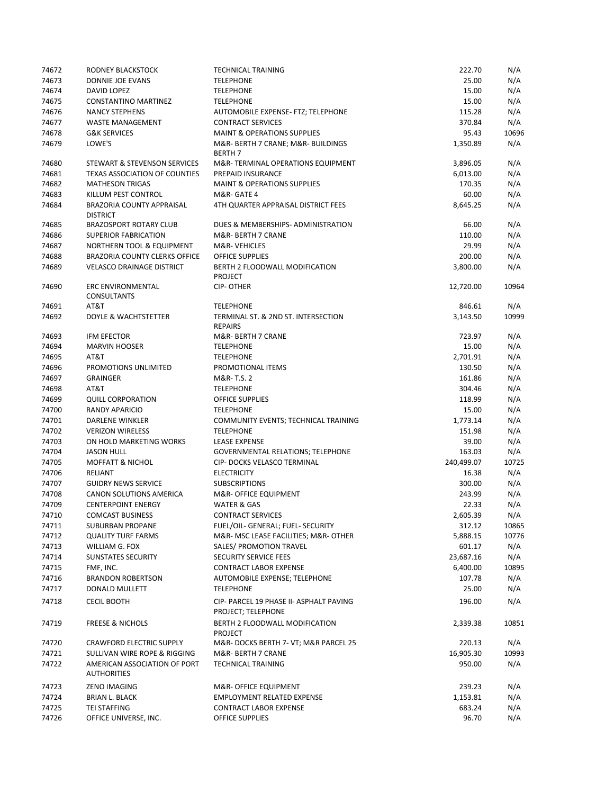| 74672 | RODNEY BLACKSTOCK                                  | <b>TECHNICAL TRAINING</b>                                     | 222.70     | N/A   |
|-------|----------------------------------------------------|---------------------------------------------------------------|------------|-------|
| 74673 | DONNIE JOE EVANS                                   | <b>TELEPHONE</b>                                              | 25.00      | N/A   |
| 74674 | DAVID LOPEZ                                        | <b>TELEPHONE</b>                                              | 15.00      | N/A   |
| 74675 | CONSTANTINO MARTINEZ                               | <b>TELEPHONE</b>                                              | 15.00      | N/A   |
| 74676 | <b>NANCY STEPHENS</b>                              | AUTOMOBILE EXPENSE- FTZ; TELEPHONE                            | 115.28     | N/A   |
| 74677 | <b>WASTE MANAGEMENT</b>                            | <b>CONTRACT SERVICES</b>                                      | 370.84     | N/A   |
| 74678 | <b>G&amp;K SERVICES</b>                            | <b>MAINT &amp; OPERATIONS SUPPLIES</b>                        | 95.43      | 10696 |
| 74679 | LOWE'S                                             | M&R- BERTH 7 CRANE; M&R- BUILDINGS<br><b>BERTH 7</b>          | 1,350.89   | N/A   |
| 74680 | STEWART & STEVENSON SERVICES                       | M&R-TERMINAL OPERATIONS EQUIPMENT                             | 3,896.05   | N/A   |
| 74681 | <b>TEXAS ASSOCIATION OF COUNTIES</b>               | PREPAID INSURANCE                                             | 6,013.00   | N/A   |
| 74682 | <b>MATHESON TRIGAS</b>                             | <b>MAINT &amp; OPERATIONS SUPPLIES</b>                        | 170.35     | N/A   |
| 74683 | KILLUM PEST CONTROL                                | M&R-GATE 4                                                    | 60.00      | N/A   |
| 74684 | BRAZORIA COUNTY APPRAISAL<br><b>DISTRICT</b>       | 4TH QUARTER APPRAISAL DISTRICT FEES                           | 8,645.25   | N/A   |
| 74685 | <b>BRAZOSPORT ROTARY CLUB</b>                      | DUES & MEMBERSHIPS- ADMINISTRATION                            | 66.00      | N/A   |
| 74686 | <b>SUPERIOR FABRICATION</b>                        | M&R- BERTH 7 CRANE                                            | 110.00     | N/A   |
| 74687 | NORTHERN TOOL & EQUIPMENT                          | M&R-VEHICLES                                                  | 29.99      | N/A   |
| 74688 | BRAZORIA COUNTY CLERKS OFFICE                      | <b>OFFICE SUPPLIES</b>                                        | 200.00     | N/A   |
| 74689 | <b>VELASCO DRAINAGE DISTRICT</b>                   | BERTH 2 FLOODWALL MODIFICATION<br>PROJECT                     | 3,800.00   | N/A   |
| 74690 | <b>ERC ENVIRONMENTAL</b><br><b>CONSULTANTS</b>     | <b>CIP-OTHER</b>                                              | 12,720.00  | 10964 |
| 74691 | AT&T                                               | <b>TELEPHONE</b>                                              | 846.61     | N/A   |
| 74692 | DOYLE & WACHTSTETTER                               | TERMINAL ST. & 2ND ST. INTERSECTION<br><b>REPAIRS</b>         | 3,143.50   | 10999 |
| 74693 | <b>IFM EFECTOR</b>                                 | M&R- BERTH 7 CRANE                                            | 723.97     | N/A   |
| 74694 | <b>MARVIN HOOSER</b>                               | <b>TELEPHONE</b>                                              | 15.00      | N/A   |
| 74695 | AT&T                                               | <b>TELEPHONE</b>                                              | 2,701.91   | N/A   |
| 74696 | PROMOTIONS UNLIMITED                               | PROMOTIONAL ITEMS                                             | 130.50     | N/A   |
| 74697 | <b>GRAINGER</b>                                    | M&R-T.S. 2                                                    | 161.86     | N/A   |
| 74698 | AT&T                                               | <b>TELEPHONE</b>                                              | 304.46     | N/A   |
| 74699 | <b>QUILL CORPORATION</b>                           | <b>OFFICE SUPPLIES</b>                                        | 118.99     | N/A   |
| 74700 | RANDY APARICIO                                     | <b>TELEPHONE</b>                                              | 15.00      | N/A   |
| 74701 | DARLENE WINKLER                                    | COMMUNITY EVENTS; TECHNICAL TRAINING                          | 1,773.14   | N/A   |
| 74702 | <b>VERIZON WIRELESS</b>                            | <b>TELEPHONE</b>                                              | 151.98     | N/A   |
| 74703 | ON HOLD MARKETING WORKS                            | <b>LEASE EXPENSE</b>                                          | 39.00      | N/A   |
| 74704 | <b>JASON HULL</b>                                  | <b>GOVERNMENTAL RELATIONS; TELEPHONE</b>                      | 163.03     | N/A   |
| 74705 | <b>MOFFATT &amp; NICHOL</b>                        | CIP- DOCKS VELASCO TERMINAL                                   | 240,499.07 | 10725 |
| 74706 | RELIANT                                            | <b>ELECTRICITY</b>                                            | 16.38      | N/A   |
| 74707 | <b>GUIDRY NEWS SERVICE</b>                         | <b>SUBSCRIPTIONS</b>                                          | 300.00     | N/A   |
| 74708 | CANON SOLUTIONS AMERICA                            | M&R- OFFICE EQUIPMENT                                         | 243.99     | N/A   |
| 74709 | <b>CENTERPOINT ENERGY</b>                          | <b>WATER &amp; GAS</b>                                        | 22.33      | N/A   |
| 74710 | <b>COMCAST BUSINESS</b>                            | <b>CONTRACT SERVICES</b>                                      | 2,605.39   | N/A   |
| 74711 | <b>SUBURBAN PROPANE</b>                            | FUEL/OIL- GENERAL; FUEL- SECURITY                             | 312.12     | 10865 |
| 74712 | <b>QUALITY TURF FARMS</b>                          | M&R- MSC LEASE FACILITIES; M&R- OTHER                         | 5,888.15   | 10776 |
| 74713 | WILLIAM G. FOX                                     | <b>SALES/ PROMOTION TRAVEL</b>                                | 601.17     | N/A   |
| 74714 | SUNSTATES SECURITY                                 | SECURITY SERVICE FEES                                         | 23,687.16  | N/A   |
| 74715 | FMF, INC.                                          | <b>CONTRACT LABOR EXPENSE</b>                                 | 6,400.00   | 10895 |
| 74716 | <b>BRANDON ROBERTSON</b>                           | AUTOMOBILE EXPENSE; TELEPHONE                                 | 107.78     | N/A   |
| 74717 | DONALD MULLETT                                     | <b>TELEPHONE</b>                                              | 25.00      | N/A   |
| 74718 | <b>CECIL BOOTH</b>                                 | CIP- PARCEL 19 PHASE II- ASPHALT PAVING<br>PROJECT; TELEPHONE | 196.00     | N/A   |
| 74719 | <b>FREESE &amp; NICHOLS</b>                        | BERTH 2 FLOODWALL MODIFICATION<br><b>PROJECT</b>              | 2,339.38   | 10851 |
| 74720 | <b>CRAWFORD ELECTRIC SUPPLY</b>                    | M&R-DOCKS BERTH 7- VT; M&R PARCEL 25                          | 220.13     | N/A   |
| 74721 | SULLIVAN WIRE ROPE & RIGGING                       | M&R- BERTH 7 CRANE                                            | 16,905.30  | 10993 |
| 74722 | AMERICAN ASSOCIATION OF PORT<br><b>AUTHORITIES</b> | <b>TECHNICAL TRAINING</b>                                     | 950.00     | N/A   |
| 74723 | ZENO IMAGING                                       | M&R- OFFICE EQUIPMENT                                         | 239.23     | N/A   |
| 74724 | <b>BRIAN L. BLACK</b>                              | <b>EMPLOYMENT RELATED EXPENSE</b>                             | 1,153.81   | N/A   |
| 74725 | <b>TEI STAFFING</b>                                | <b>CONTRACT LABOR EXPENSE</b>                                 | 683.24     | N/A   |
| 74726 | OFFICE UNIVERSE, INC.                              | OFFICE SUPPLIES                                               | 96.70      | N/A   |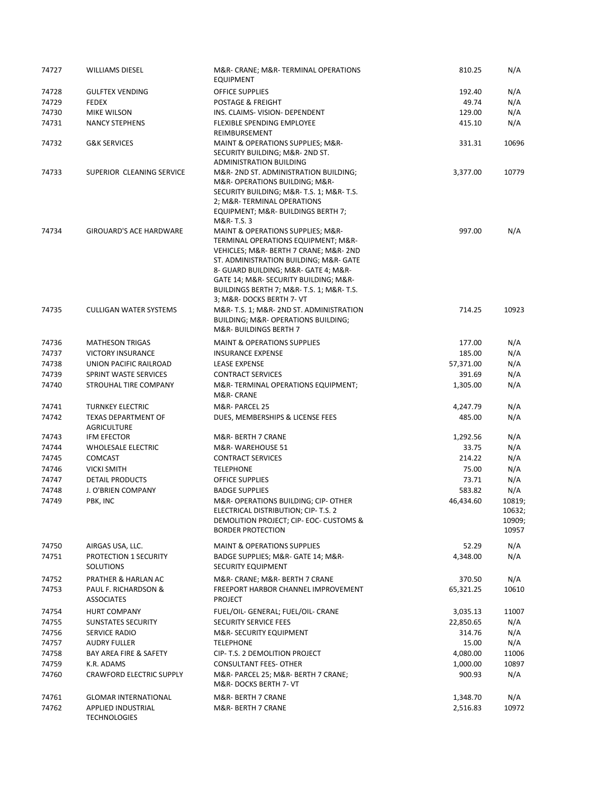| 74727 | <b>WILLIAMS DIESEL</b>                           | M&R- CRANE; M&R- TERMINAL OPERATIONS<br><b>EQUIPMENT</b>                                                                                                                                                                                                                                                 | 810.25    | N/A                                 |
|-------|--------------------------------------------------|----------------------------------------------------------------------------------------------------------------------------------------------------------------------------------------------------------------------------------------------------------------------------------------------------------|-----------|-------------------------------------|
| 74728 | <b>GULFTEX VENDING</b>                           | <b>OFFICE SUPPLIES</b>                                                                                                                                                                                                                                                                                   | 192.40    | N/A                                 |
| 74729 | <b>FEDEX</b>                                     | POSTAGE & FREIGHT                                                                                                                                                                                                                                                                                        | 49.74     | N/A                                 |
| 74730 | MIKE WILSON                                      | INS. CLAIMS- VISION- DEPENDENT                                                                                                                                                                                                                                                                           | 129.00    | N/A                                 |
| 74731 | <b>NANCY STEPHENS</b>                            | <b>FLEXIBLE SPENDING EMPLOYEE</b><br>REIMBURSEMENT                                                                                                                                                                                                                                                       | 415.10    | N/A                                 |
| 74732 | <b>G&amp;K SERVICES</b>                          | MAINT & OPERATIONS SUPPLIES; M&R-<br>SECURITY BUILDING; M&R- 2ND ST.                                                                                                                                                                                                                                     | 331.31    | 10696                               |
| 74733 | SUPERIOR CLEANING SERVICE                        | ADMINISTRATION BUILDING<br>M&R-2ND ST. ADMINISTRATION BUILDING;<br>M&R- OPERATIONS BUILDING; M&R-<br>SECURITY BUILDING; M&R-T.S. 1; M&R-T.S.<br>2; M&R-TERMINAL OPERATIONS<br>EQUIPMENT; M&R- BUILDINGS BERTH 7;                                                                                         | 3,377.00  | 10779                               |
| 74734 | GIROUARD'S ACE HARDWARE                          | M&R-T.S. 3<br>MAINT & OPERATIONS SUPPLIES; M&R-<br>TERMINAL OPERATIONS EQUIPMENT; M&R-<br>VEHICLES; M&R- BERTH 7 CRANE; M&R- 2ND<br>ST. ADMINISTRATION BUILDING; M&R- GATE<br>8- GUARD BUILDING; M&R- GATE 4; M&R-<br>GATE 14; M&R- SECURITY BUILDING; M&R-<br>BUILDINGS BERTH 7; M&R- T.S. 1; M&R- T.S. | 997.00    | N/A                                 |
| 74735 | <b>CULLIGAN WATER SYSTEMS</b>                    | 3; M&R- DOCKS BERTH 7- VT<br>M&R-T.S. 1; M&R-2ND ST. ADMINISTRATION<br>BUILDING; M&R- OPERATIONS BUILDING;<br>M&R-BUILDINGS BERTH 7                                                                                                                                                                      | 714.25    | 10923                               |
| 74736 | <b>MATHESON TRIGAS</b>                           | <b>MAINT &amp; OPERATIONS SUPPLIES</b>                                                                                                                                                                                                                                                                   | 177.00    | N/A                                 |
| 74737 | <b>VICTORY INSURANCE</b>                         | <b>INSURANCE EXPENSE</b>                                                                                                                                                                                                                                                                                 | 185.00    | N/A                                 |
| 74738 | UNION PACIFIC RAILROAD                           | <b>LEASE EXPENSE</b>                                                                                                                                                                                                                                                                                     | 57,371.00 | N/A                                 |
| 74739 | SPRINT WASTE SERVICES                            | <b>CONTRACT SERVICES</b>                                                                                                                                                                                                                                                                                 | 391.69    | N/A                                 |
| 74740 | STROUHAL TIRE COMPANY                            | M&R-TERMINAL OPERATIONS EQUIPMENT;<br>M&R- CRANE                                                                                                                                                                                                                                                         | 1,305.00  | N/A                                 |
| 74741 | <b>TURNKEY ELECTRIC</b>                          | M&R-PARCEL 25                                                                                                                                                                                                                                                                                            | 4,247.79  | N/A                                 |
| 74742 | <b>TEXAS DEPARTMENT OF</b><br><b>AGRICULTURE</b> | DUES, MEMBERSHIPS & LICENSE FEES                                                                                                                                                                                                                                                                         | 485.00    | N/A                                 |
| 74743 | <b>IFM EFECTOR</b>                               | M&R- BERTH 7 CRANE                                                                                                                                                                                                                                                                                       | 1,292.56  | N/A                                 |
| 74744 | <b>WHOLESALE ELECTRIC</b>                        | M&R-WAREHOUSE 51                                                                                                                                                                                                                                                                                         | 33.75     | N/A                                 |
| 74745 | <b>COMCAST</b>                                   | <b>CONTRACT SERVICES</b>                                                                                                                                                                                                                                                                                 | 214.22    | N/A                                 |
| 74746 | <b>VICKI SMITH</b>                               | <b>TELEPHONE</b>                                                                                                                                                                                                                                                                                         | 75.00     | N/A                                 |
| 74747 | <b>DETAIL PRODUCTS</b>                           | <b>OFFICE SUPPLIES</b>                                                                                                                                                                                                                                                                                   | 73.71     | N/A                                 |
| 74748 | J. O'BRIEN COMPANY                               | <b>BADGE SUPPLIES</b>                                                                                                                                                                                                                                                                                    | 583.82    | N/A                                 |
| 74749 | PBK, INC                                         | M&R- OPERATIONS BUILDING: CIP- OTHER<br>ELECTRICAL DISTRIBUTION; CIP- T.S. 2<br>DEMOLITION PROJECT; CIP- EOC- CUSTOMS &<br><b>BORDER PROTECTION</b>                                                                                                                                                      | 46,434.60 | 10819;<br>10632;<br>10909;<br>10957 |
| 74750 | AIRGAS USA, LLC.                                 | <b>MAINT &amp; OPERATIONS SUPPLIES</b>                                                                                                                                                                                                                                                                   | 52.29     | N/A                                 |
| 74751 | PROTECTION 1 SECURITY<br><b>SOLUTIONS</b>        | BADGE SUPPLIES; M&R- GATE 14; M&R-<br>SECURITY EQUIPMENT                                                                                                                                                                                                                                                 | 4,348.00  | N/A                                 |
| 74752 | PRATHER & HARLAN AC                              | M&R- CRANE; M&R- BERTH 7 CRANE                                                                                                                                                                                                                                                                           | 370.50    | N/A                                 |
| 74753 | PAUL F. RICHARDSON &<br><b>ASSOCIATES</b>        | FREEPORT HARBOR CHANNEL IMPROVEMENT<br><b>PROJECT</b>                                                                                                                                                                                                                                                    | 65,321.25 | 10610                               |
| 74754 | HURT COMPANY                                     | FUEL/OIL- GENERAL; FUEL/OIL- CRANE                                                                                                                                                                                                                                                                       | 3,035.13  | 11007                               |
| 74755 | SUNSTATES SECURITY                               | SECURITY SERVICE FEES                                                                                                                                                                                                                                                                                    | 22,850.65 | N/A                                 |
| 74756 | SERVICE RADIO                                    | M&R-SECURITY EQUIPMENT                                                                                                                                                                                                                                                                                   | 314.76    | N/A                                 |
| 74757 | AUDRY FULLER                                     | <b>TELEPHONE</b>                                                                                                                                                                                                                                                                                         | 15.00     | N/A                                 |
| 74758 | BAY AREA FIRE & SAFETY                           | CIP- T.S. 2 DEMOLITION PROJECT                                                                                                                                                                                                                                                                           | 4,080.00  | 11006                               |
| 74759 | K.R. ADAMS                                       | <b>CONSULTANT FEES- OTHER</b>                                                                                                                                                                                                                                                                            | 1,000.00  | 10897                               |
| 74760 | <b>CRAWFORD ELECTRIC SUPPLY</b>                  | M&R- PARCEL 25; M&R- BERTH 7 CRANE;<br>M&R-DOCKS BERTH 7- VT                                                                                                                                                                                                                                             | 900.93    | N/A                                 |
| 74761 | <b>GLOMAR INTERNATIONAL</b>                      | M&R- BERTH 7 CRANE                                                                                                                                                                                                                                                                                       | 1,348.70  | N/A                                 |
| 74762 | APPLIED INDUSTRIAL<br><b>TECHNOLOGIES</b>        | M&R- BERTH 7 CRANE                                                                                                                                                                                                                                                                                       | 2,516.83  | 10972                               |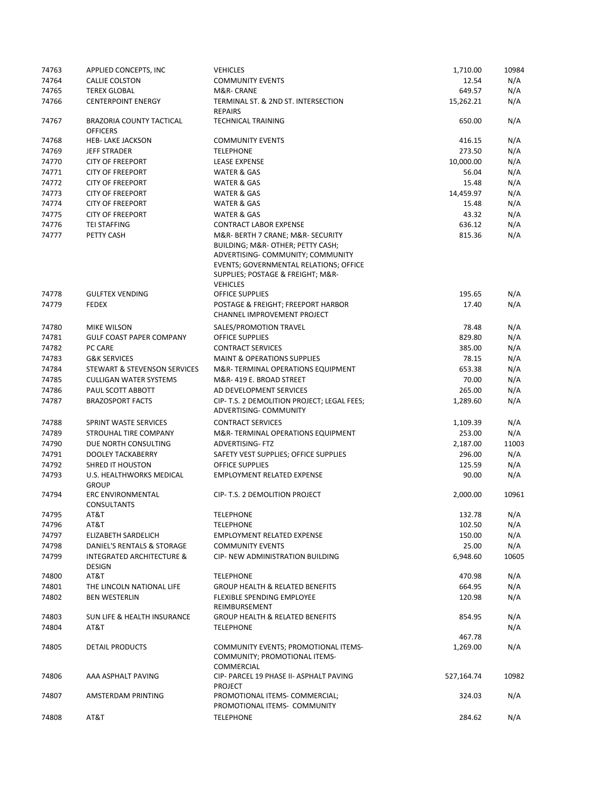| 74763          | APPLIED CONCEPTS, INC                                 | <b>VEHICLES</b>                                                                                                                                                                            | 1,710.00           | 10984      |
|----------------|-------------------------------------------------------|--------------------------------------------------------------------------------------------------------------------------------------------------------------------------------------------|--------------------|------------|
| 74764          | <b>CALLIE COLSTON</b>                                 | <b>COMMUNITY EVENTS</b>                                                                                                                                                                    | 12.54              | N/A        |
| 74765          | <b>TEREX GLOBAL</b>                                   | M&R- CRANE                                                                                                                                                                                 | 649.57             | N/A        |
| 74766          | <b>CENTERPOINT ENERGY</b>                             | TERMINAL ST. & 2ND ST. INTERSECTION<br><b>REPAIRS</b>                                                                                                                                      | 15,262.21          | N/A        |
| 74767          | BRAZORIA COUNTY TACTICAL<br><b>OFFICERS</b>           | <b>TECHNICAL TRAINING</b>                                                                                                                                                                  | 650.00             | N/A        |
| 74768          | <b>HEB- LAKE JACKSON</b>                              | <b>COMMUNITY EVENTS</b>                                                                                                                                                                    | 416.15             | N/A        |
| 74769          | <b>JEFF STRADER</b>                                   | <b>TELEPHONE</b>                                                                                                                                                                           | 273.50             | N/A        |
| 74770          | <b>CITY OF FREEPORT</b>                               | <b>LEASE EXPENSE</b>                                                                                                                                                                       | 10,000.00          | N/A        |
| 74771          | <b>CITY OF FREEPORT</b>                               | WATER & GAS                                                                                                                                                                                | 56.04              | N/A        |
| 74772          | <b>CITY OF FREEPORT</b>                               | WATER & GAS                                                                                                                                                                                | 15.48              | N/A        |
| 74773          | <b>CITY OF FREEPORT</b>                               | <b>WATER &amp; GAS</b>                                                                                                                                                                     | 14,459.97          | N/A        |
|                |                                                       |                                                                                                                                                                                            |                    |            |
| 74774          | <b>CITY OF FREEPORT</b>                               | WATER & GAS                                                                                                                                                                                | 15.48              | N/A        |
| 74775          | <b>CITY OF FREEPORT</b>                               | <b>WATER &amp; GAS</b>                                                                                                                                                                     | 43.32              | N/A        |
| 74776          | <b>TEI STAFFING</b>                                   | <b>CONTRACT LABOR EXPENSE</b>                                                                                                                                                              | 636.12             | N/A        |
| 74777          | PETTY CASH                                            | M&R- BERTH 7 CRANE; M&R- SECURITY<br>BUILDING; M&R- OTHER; PETTY CASH;<br>ADVERTISING- COMMUNITY; COMMUNITY<br>EVENTS; GOVERNMENTAL RELATIONS; OFFICE<br>SUPPLIES; POSTAGE & FREIGHT; M&R- | 815.36             | N/A        |
|                |                                                       | <b>VEHICLES</b>                                                                                                                                                                            |                    |            |
| 74778          | <b>GULFTEX VENDING</b>                                | <b>OFFICE SUPPLIES</b>                                                                                                                                                                     | 195.65             | N/A        |
| 74779          | <b>FEDEX</b>                                          | POSTAGE & FREIGHT; FREEPORT HARBOR<br>CHANNEL IMPROVEMENT PROJECT                                                                                                                          | 17.40              | N/A        |
| 74780          | <b>MIKE WILSON</b>                                    | SALES/PROMOTION TRAVEL                                                                                                                                                                     | 78.48              | N/A        |
| 74781          | <b>GULF COAST PAPER COMPANY</b>                       | <b>OFFICE SUPPLIES</b>                                                                                                                                                                     | 829.80             | N/A        |
| 74782          | PC CARE                                               | <b>CONTRACT SERVICES</b>                                                                                                                                                                   | 385.00             | N/A        |
| 74783          | <b>G&amp;K SERVICES</b>                               | <b>MAINT &amp; OPERATIONS SUPPLIES</b>                                                                                                                                                     | 78.15              | N/A        |
| 74784          | STEWART & STEVENSON SERVICES                          | M&R-TERMINAL OPERATIONS EQUIPMENT                                                                                                                                                          | 653.38             | N/A        |
| 74785          | <b>CULLIGAN WATER SYSTEMS</b>                         | M&R-419 E. BROAD STREET                                                                                                                                                                    | 70.00              | N/A        |
|                |                                                       |                                                                                                                                                                                            |                    |            |
| 74786<br>74787 | PAUL SCOTT ABBOTT<br><b>BRAZOSPORT FACTS</b>          | AD DEVELOPMENT SERVICES<br>CIP- T.S. 2 DEMOLITION PROJECT; LEGAL FEES;<br>ADVERTISING- COMMUNITY                                                                                           | 265.00<br>1,289.60 | N/A<br>N/A |
| 74788          | SPRINT WASTE SERVICES                                 | <b>CONTRACT SERVICES</b>                                                                                                                                                                   | 1,109.39           | N/A        |
| 74789          | STROUHAL TIRE COMPANY                                 | M&R-TERMINAL OPERATIONS EQUIPMENT                                                                                                                                                          | 253.00             | N/A        |
| 74790          | DUE NORTH CONSULTING                                  | <b>ADVERTISING-FTZ</b>                                                                                                                                                                     | 2,187.00           | 11003      |
| 74791          | <b>DOOLEY TACKABERRY</b>                              | SAFETY VEST SUPPLIES; OFFICE SUPPLIES                                                                                                                                                      | 296.00             | N/A        |
| 74792          | <b>SHRED IT HOUSTON</b>                               | <b>OFFICE SUPPLIES</b>                                                                                                                                                                     | 125.59             |            |
|                |                                                       | <b>EMPLOYMENT RELATED EXPENSE</b>                                                                                                                                                          |                    | N/A        |
| 74793          | U.S. HEALTHWORKS MEDICAL<br><b>GROUP</b>              |                                                                                                                                                                                            | 90.00              | N/A        |
| 74794          | <b>ERC ENVIRONMENTAL</b><br><b>CONSULTANTS</b>        | CIP- T.S. 2 DEMOLITION PROJECT                                                                                                                                                             | 2,000.00           | 10961      |
| 74795          | AT&T                                                  | <b>TELEPHONE</b>                                                                                                                                                                           | 132.78             | N/A        |
| 74796          | AT&T                                                  | <b>TELEPHONE</b>                                                                                                                                                                           | 102.50             | N/A        |
| 74797          | ELIZABETH SARDELICH                                   | <b>EMPLOYMENT RELATED EXPENSE</b>                                                                                                                                                          | 150.00             | N/A        |
| 74798          | DANIEL'S RENTALS & STORAGE                            | <b>COMMUNITY EVENTS</b>                                                                                                                                                                    | 25.00              | N/A        |
| 74799          | <b>INTEGRATED ARCHITECTURE &amp;</b><br><b>DESIGN</b> | <b>CIP- NEW ADMINISTRATION BUILDING</b>                                                                                                                                                    | 6,948.60           | 10605      |
| 74800          | AT&T                                                  | <b>TELEPHONE</b>                                                                                                                                                                           | 470.98             | N/A        |
| 74801          | THE LINCOLN NATIONAL LIFE                             | <b>GROUP HEALTH &amp; RELATED BENEFITS</b>                                                                                                                                                 | 664.95             | N/A        |
| 74802          | <b>BEN WESTERLIN</b>                                  | FLEXIBLE SPENDING EMPLOYEE<br>REIMBURSEMENT                                                                                                                                                | 120.98             | N/A        |
| 74803          | SUN LIFE & HEALTH INSURANCE                           | <b>GROUP HEALTH &amp; RELATED BENEFITS</b>                                                                                                                                                 | 854.95             | N/A        |
| 74804          | AT&T                                                  | <b>TELEPHONE</b>                                                                                                                                                                           | 467.78             | N/A        |
| 74805          | DETAIL PRODUCTS                                       | COMMUNITY EVENTS; PROMOTIONAL ITEMS-<br>COMMUNITY; PROMOTIONAL ITEMS-<br>COMMERCIAL                                                                                                        | 1,269.00           | N/A        |
| 74806          | AAA ASPHALT PAVING                                    | CIP- PARCEL 19 PHASE II- ASPHALT PAVING<br><b>PROJECT</b>                                                                                                                                  | 527,164.74         | 10982      |
| 74807          | AMSTERDAM PRINTING                                    | PROMOTIONAL ITEMS- COMMERCIAL;<br>PROMOTIONAL ITEMS- COMMUNITY                                                                                                                             | 324.03             | N/A        |
| 74808          | AT&T                                                  | <b>TELEPHONE</b>                                                                                                                                                                           | 284.62             | N/A        |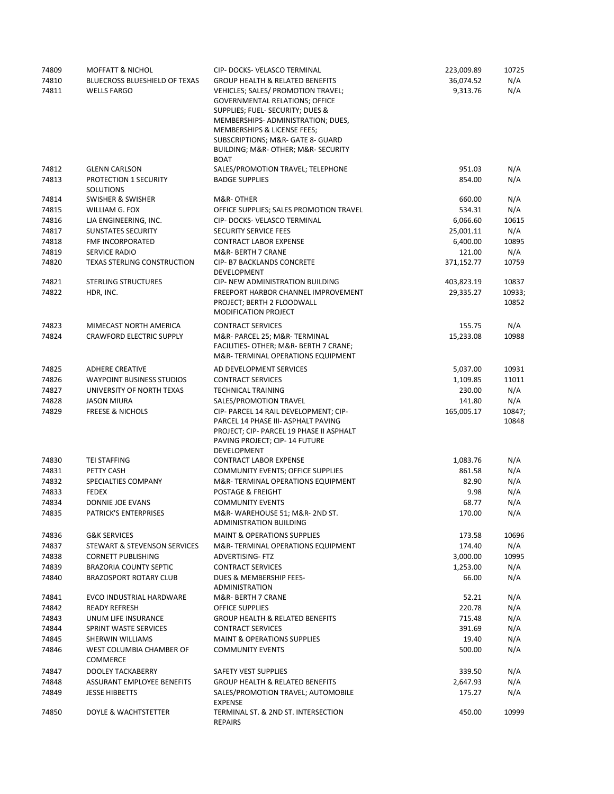| 74809 | <b>MOFFATT &amp; NICHOL</b>          | CIP- DOCKS- VELASCO TERMINAL                       | 223,009.89 | 10725  |
|-------|--------------------------------------|----------------------------------------------------|------------|--------|
| 74810 | <b>BLUECROSS BLUESHIELD OF TEXAS</b> | <b>GROUP HEALTH &amp; RELATED BENEFITS</b>         | 36,074.52  | N/A    |
| 74811 | <b>WELLS FARGO</b>                   | VEHICLES; SALES/ PROMOTION TRAVEL;                 | 9,313.76   | N/A    |
|       |                                      | <b>GOVERNMENTAL RELATIONS; OFFICE</b>              |            |        |
|       |                                      | SUPPLIES; FUEL- SECURITY; DUES &                   |            |        |
|       |                                      | MEMBERSHIPS-ADMINISTRATION; DUES,                  |            |        |
|       |                                      | MEMBERSHIPS & LICENSE FEES;                        |            |        |
|       |                                      | SUBSCRIPTIONS; M&R- GATE 8- GUARD                  |            |        |
|       |                                      |                                                    |            |        |
|       |                                      | BUILDING; M&R- OTHER; M&R- SECURITY<br><b>BOAT</b> |            |        |
| 74812 | <b>GLENN CARLSON</b>                 | SALES/PROMOTION TRAVEL; TELEPHONE                  | 951.03     | N/A    |
| 74813 | PROTECTION 1 SECURITY                | <b>BADGE SUPPLIES</b>                              | 854.00     | N/A    |
|       | SOLUTIONS                            |                                                    |            |        |
| 74814 | SWISHER & SWISHER                    | M&R-OTHER                                          | 660.00     | N/A    |
| 74815 | WILLIAM G. FOX                       | OFFICE SUPPLIES; SALES PROMOTION TRAVEL            | 534.31     | N/A    |
| 74816 |                                      | CIP- DOCKS- VELASCO TERMINAL                       | 6,066.60   | 10615  |
|       | LJA ENGINEERING, INC.                |                                                    |            |        |
| 74817 | <b>SUNSTATES SECURITY</b>            | <b>SECURITY SERVICE FEES</b>                       | 25,001.11  | N/A    |
| 74818 | FMF INCORPORATED                     | <b>CONTRACT LABOR EXPENSE</b>                      | 6,400.00   | 10895  |
| 74819 | SERVICE RADIO                        | M&R- BERTH 7 CRANE                                 | 121.00     | N/A    |
| 74820 | <b>TEXAS STERLING CONSTRUCTION</b>   | <b>CIP- B7 BACKLANDS CONCRETE</b>                  | 371,152.77 | 10759  |
|       |                                      | DEVELOPMENT                                        |            |        |
| 74821 | <b>STERLING STRUCTURES</b>           | CIP- NEW ADMINISTRATION BUILDING                   | 403,823.19 | 10837  |
| 74822 | HDR, INC.                            | FREEPORT HARBOR CHANNEL IMPROVEMENT                | 29,335.27  | 10933; |
|       |                                      | PROJECT; BERTH 2 FLOODWALL                         |            | 10852  |
|       |                                      | MODIFICATION PROJECT                               |            |        |
| 74823 | MIMECAST NORTH AMERICA               | <b>CONTRACT SERVICES</b>                           | 155.75     | N/A    |
| 74824 | <b>CRAWFORD ELECTRIC SUPPLY</b>      | M&R- PARCEL 25; M&R- TERMINAL                      | 15,233.08  | 10988  |
|       |                                      | FACILITIES- OTHER; M&R- BERTH 7 CRANE;             |            |        |
|       |                                      | M&R-TERMINAL OPERATIONS EQUIPMENT                  |            |        |
|       |                                      |                                                    |            |        |
| 74825 | <b>ADHERE CREATIVE</b>               | AD DEVELOPMENT SERVICES                            | 5,037.00   | 10931  |
| 74826 | <b>WAYPOINT BUSINESS STUDIOS</b>     | <b>CONTRACT SERVICES</b>                           | 1,109.85   | 11011  |
| 74827 | UNIVERSITY OF NORTH TEXAS            | <b>TECHNICAL TRAINING</b>                          | 230.00     | N/A    |
| 74828 | <b>JASON MIURA</b>                   | SALES/PROMOTION TRAVEL                             | 141.80     | N/A    |
| 74829 | <b>FREESE &amp; NICHOLS</b>          | CIP- PARCEL 14 RAIL DEVELOPMENT; CIP-              | 165,005.17 | 10847; |
|       |                                      | PARCEL 14 PHASE III- ASPHALT PAVING                |            | 10848  |
|       |                                      | PROJECT; CIP- PARCEL 19 PHASE II ASPHALT           |            |        |
|       |                                      | PAVING PROJECT; CIP-14 FUTURE                      |            |        |
|       |                                      | DEVELOPMENT                                        |            |        |
| 74830 | <b>TEI STAFFING</b>                  | <b>CONTRACT LABOR EXPENSE</b>                      | 1,083.76   | N/A    |
| 74831 | PETTY CASH                           | COMMUNITY EVENTS; OFFICE SUPPLIES                  | 861.58     | N/A    |
| 74832 | SPECIALTIES COMPANY                  | M&R-TERMINAL OPERATIONS EQUIPMENT                  | 82.90      | N/A    |
| 74833 | <b>FEDEX</b>                         | POSTAGE & FREIGHT                                  | 9.98       | N/A    |
| 74834 | <b>DONNIE JOE EVANS</b>              | <b>COMMUNITY EVENTS</b>                            | 68.77      | N/A    |
| 74835 | PATRICK'S ENTERPRISES                | M&R-WAREHOUSE 51; M&R- 2ND ST.                     | 170.00     | N/A    |
|       |                                      | <b>ADMINISTRATION BUILDING</b>                     |            |        |
| 74836 | <b>G&amp;K SERVICES</b>              | <b>MAINT &amp; OPERATIONS SUPPLIES</b>             | 173.58     | 10696  |
| 74837 | STEWART & STEVENSON SERVICES         | M&R-TERMINAL OPERATIONS EQUIPMENT                  | 174.40     | N/A    |
| 74838 | <b>CORNETT PUBLISHING</b>            | <b>ADVERTISING-FTZ</b>                             | 3,000.00   | 10995  |
| 74839 | <b>BRAZORIA COUNTY SEPTIC</b>        | <b>CONTRACT SERVICES</b>                           | 1,253.00   | N/A    |
| 74840 | <b>BRAZOSPORT ROTARY CLUB</b>        | <b>DUES &amp; MEMBERSHIP FEES-</b>                 | 66.00      | N/A    |
|       |                                      | <b>ADMINISTRATION</b>                              |            |        |
| 74841 | EVCO INDUSTRIAL HARDWARE             | M&R- BERTH 7 CRANE                                 | 52.21      | N/A    |
| 74842 | <b>READY REFRESH</b>                 | <b>OFFICE SUPPLIES</b>                             | 220.78     | N/A    |
|       | UNUM LIFE INSURANCE                  | <b>GROUP HEALTH &amp; RELATED BENEFITS</b>         | 715.48     |        |
| 74843 |                                      |                                                    |            | N/A    |
| 74844 | SPRINT WASTE SERVICES                | <b>CONTRACT SERVICES</b>                           | 391.69     | N/A    |
| 74845 | SHERWIN WILLIAMS                     | <b>MAINT &amp; OPERATIONS SUPPLIES</b>             | 19.40      | N/A    |
| 74846 | WEST COLUMBIA CHAMBER OF             | <b>COMMUNITY EVENTS</b>                            | 500.00     | N/A    |
|       | <b>COMMERCE</b>                      |                                                    |            |        |
| 74847 | <b>DOOLEY TACKABERRY</b>             | SAFETY VEST SUPPLIES                               | 339.50     | N/A    |
| 74848 | ASSURANT EMPLOYEE BENEFITS           | <b>GROUP HEALTH &amp; RELATED BENEFITS</b>         | 2,647.93   | N/A    |
| 74849 | <b>JESSE HIBBETTS</b>                | SALES/PROMOTION TRAVEL; AUTOMOBILE                 | 175.27     | N/A    |
|       |                                      | <b>EXPENSE</b>                                     |            |        |
| 74850 | DOYLE & WACHTSTETTER                 | TERMINAL ST. & 2ND ST. INTERSECTION                | 450.00     | 10999  |
|       |                                      | REPAIRS                                            |            |        |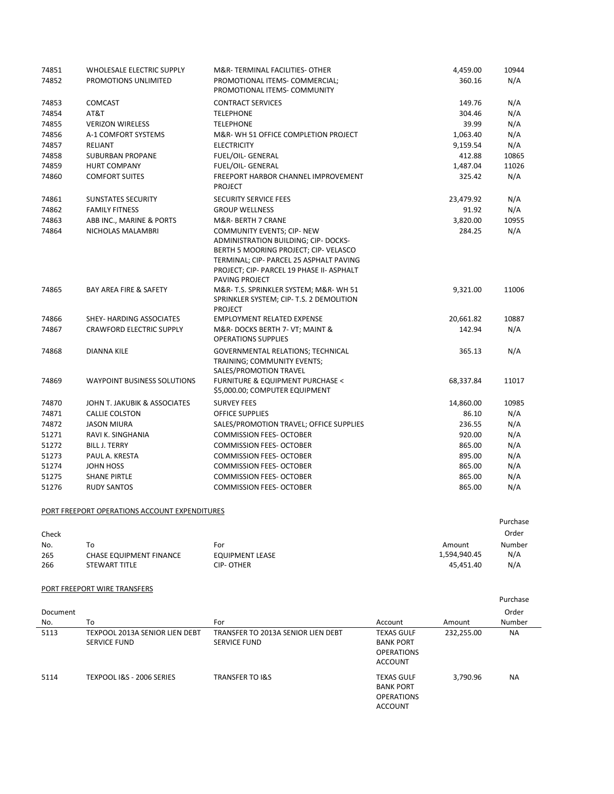| 74851 | WHOLESALE ELECTRIC SUPPLY                     | M&R-TERMINAL FACILITIES- OTHER                                                                                                                                                                                              | 4,459.00  | 10944    |
|-------|-----------------------------------------------|-----------------------------------------------------------------------------------------------------------------------------------------------------------------------------------------------------------------------------|-----------|----------|
| 74852 | PROMOTIONS UNLIMITED                          | PROMOTIONAL ITEMS- COMMERCIAL;<br>PROMOTIONAL ITEMS- COMMUNITY                                                                                                                                                              | 360.16    | N/A      |
| 74853 | <b>COMCAST</b>                                | <b>CONTRACT SERVICES</b>                                                                                                                                                                                                    | 149.76    | N/A      |
| 74854 | AT&T                                          | <b>TELEPHONE</b>                                                                                                                                                                                                            | 304.46    | N/A      |
| 74855 | <b>VERIZON WIRELESS</b>                       | <b>TELEPHONE</b>                                                                                                                                                                                                            | 39.99     | N/A      |
| 74856 | A-1 COMFORT SYSTEMS                           | M&R-WH 51 OFFICE COMPLETION PROJECT                                                                                                                                                                                         | 1,063.40  | N/A      |
| 74857 | RELIANT                                       | <b>ELECTRICITY</b>                                                                                                                                                                                                          | 9,159.54  | N/A      |
| 74858 | <b>SUBURBAN PROPANE</b>                       | <b>FUEL/OIL- GENERAL</b>                                                                                                                                                                                                    | 412.88    | 10865    |
| 74859 | <b>HURT COMPANY</b>                           | FUEL/OIL- GENERAL                                                                                                                                                                                                           | 1,487.04  | 11026    |
| 74860 | <b>COMFORT SUITES</b>                         | <b>FREEPORT HARBOR CHANNEL IMPROVEMENT</b><br><b>PROJECT</b>                                                                                                                                                                | 325.42    | N/A      |
| 74861 | <b>SUNSTATES SECURITY</b>                     | SECURITY SERVICE FEES                                                                                                                                                                                                       | 23,479.92 | N/A      |
| 74862 | <b>FAMILY FITNESS</b>                         | <b>GROUP WELLNESS</b>                                                                                                                                                                                                       | 91.92     | N/A      |
| 74863 | ABB INC., MARINE & PORTS                      | M&R- BERTH 7 CRANE                                                                                                                                                                                                          | 3,820.00  | 10955    |
| 74864 | NICHOLAS MALAMBRI                             | <b>COMMUNITY EVENTS; CIP- NEW</b><br>ADMINISTRATION BUILDING; CIP- DOCKS-<br>BERTH 5 MOORING PROJECT; CIP-VELASCO<br>TERMINAL; CIP- PARCEL 25 ASPHALT PAVING<br>PROJECT; CIP- PARCEL 19 PHASE II- ASPHALT<br>PAVING PROJECT | 284.25    | N/A      |
| 74865 | BAY AREA FIRE & SAFETY                        | M&R-T.S. SPRINKLER SYSTEM; M&R-WH 51<br>SPRINKLER SYSTEM; CIP- T.S. 2 DEMOLITION<br><b>PROJECT</b>                                                                                                                          | 9,321.00  | 11006    |
| 74866 | SHEY- HARDING ASSOCIATES                      | <b>EMPLOYMENT RELATED EXPENSE</b>                                                                                                                                                                                           | 20,661.82 | 10887    |
| 74867 | <b>CRAWFORD ELECTRIC SUPPLY</b>               | M&R-DOCKS BERTH 7- VT; MAINT &<br><b>OPERATIONS SUPPLIES</b>                                                                                                                                                                | 142.94    | N/A      |
| 74868 | DIANNA KILE                                   | GOVERNMENTAL RELATIONS; TECHNICAL<br>TRAINING; COMMUNITY EVENTS;<br>SALES/PROMOTION TRAVEL                                                                                                                                  | 365.13    | N/A      |
| 74869 | <b>WAYPOINT BUSINESS SOLUTIONS</b>            | FURNITURE & EQUIPMENT PURCHASE <<br>\$5,000.00; COMPUTER EQUIPMENT                                                                                                                                                          | 68,337.84 | 11017    |
| 74870 | JOHN T. JAKUBIK & ASSOCIATES                  | <b>SURVEY FEES</b>                                                                                                                                                                                                          | 14,860.00 | 10985    |
| 74871 | <b>CALLIE COLSTON</b>                         | <b>OFFICE SUPPLIES</b>                                                                                                                                                                                                      | 86.10     | N/A      |
| 74872 | <b>JASON MIURA</b>                            | SALES/PROMOTION TRAVEL; OFFICE SUPPLIES                                                                                                                                                                                     | 236.55    | N/A      |
| 51271 | RAVI K. SINGHANIA                             | <b>COMMISSION FEES- OCTOBER</b>                                                                                                                                                                                             | 920.00    | N/A      |
| 51272 | <b>BILL J. TERRY</b>                          | <b>COMMISSION FEES- OCTOBER</b>                                                                                                                                                                                             | 865.00    | N/A      |
| 51273 | PAUL A. KRESTA                                | <b>COMMISSION FEES- OCTOBER</b>                                                                                                                                                                                             | 895.00    | N/A      |
| 51274 | JOHN HOSS                                     | <b>COMMISSION FEES- OCTOBER</b>                                                                                                                                                                                             | 865.00    | N/A      |
| 51275 | <b>SHANE PIRTLE</b>                           | <b>COMMISSION FEES- OCTOBER</b>                                                                                                                                                                                             | 865.00    | N/A      |
| 51276 | <b>RUDY SANTOS</b>                            | <b>COMMISSION FEES- OCTOBER</b>                                                                                                                                                                                             | 865.00    | N/A      |
|       | PORT FREEPORT OPERATIONS ACCOUNT EXPENDITURES |                                                                                                                                                                                                                             |           |          |
|       |                                               |                                                                                                                                                                                                                             |           | Purchase |

|       |                                |                 |              | гигсназс |
|-------|--------------------------------|-----------------|--------------|----------|
| Check |                                |                 |              | Order    |
| No.   | То                             | For             | Amount       | Number   |
| 265   | <b>CHASE EQUIPMENT FINANCE</b> | EQUIPMENT LEASE | 1,594,940.45 | N/A      |
| 266   | <b>STEWART TITLE</b>           | CIP- OTHER      | 45.451.40    | N/A      |

## PORT FREEPORT WIRE TRANSFERS

| Document |                                                       | For                                                       |                                                                              |            | Purchase<br>Order<br>Number |
|----------|-------------------------------------------------------|-----------------------------------------------------------|------------------------------------------------------------------------------|------------|-----------------------------|
| No.      | To                                                    |                                                           | Account                                                                      | Amount     |                             |
| 5113     | TEXPOOL 2013A SENIOR LIEN DEBT<br><b>SERVICE FUND</b> | TRANSFER TO 2013A SENIOR LIEN DEBT<br><b>SERVICE FUND</b> | <b>TEXAS GULF</b><br><b>BANK PORT</b><br><b>OPERATIONS</b><br><b>ACCOUNT</b> | 232,255.00 | <b>NA</b>                   |
| 5114     | TEXPOOL I&S - 2006 SERIES                             | <b>TRANSFER TO I&amp;S</b>                                | <b>TEXAS GULF</b><br><b>BANK PORT</b><br><b>OPERATIONS</b><br><b>ACCOUNT</b> | 3,790.96   | <b>NA</b>                   |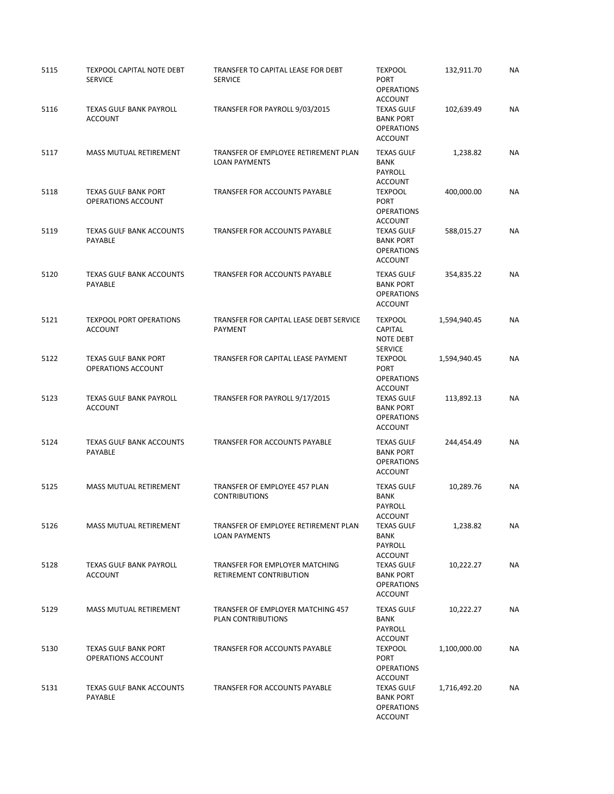| 5115 | <b>TEXPOOL CAPITAL NOTE DEBT</b><br><b>SERVICE</b> | TRANSFER TO CAPITAL LEASE FOR DEBT<br><b>SERVICE</b>         | <b>TEXPOOL</b><br><b>PORT</b><br><b>OPERATIONS</b>                                             | 132,911.70   | <b>NA</b> |
|------|----------------------------------------------------|--------------------------------------------------------------|------------------------------------------------------------------------------------------------|--------------|-----------|
| 5116 | <b>TEXAS GULF BANK PAYROLL</b><br><b>ACCOUNT</b>   | TRANSFER FOR PAYROLL 9/03/2015                               | <b>ACCOUNT</b><br><b>TEXAS GULF</b><br><b>BANK PORT</b><br><b>OPERATIONS</b><br><b>ACCOUNT</b> | 102,639.49   | <b>NA</b> |
| 5117 | <b>MASS MUTUAL RETIREMENT</b>                      | TRANSFER OF EMPLOYEE RETIREMENT PLAN<br><b>LOAN PAYMENTS</b> | <b>TEXAS GULF</b><br><b>BANK</b><br>PAYROLL<br>ACCOUNT                                         | 1,238.82     | <b>NA</b> |
| 5118 | <b>TEXAS GULF BANK PORT</b><br>OPERATIONS ACCOUNT  | TRANSFER FOR ACCOUNTS PAYABLE                                | <b>TEXPOOL</b><br><b>PORT</b><br><b>OPERATIONS</b><br><b>ACCOUNT</b>                           | 400,000.00   | <b>NA</b> |
| 5119 | <b>TEXAS GULF BANK ACCOUNTS</b><br><b>PAYABLE</b>  | TRANSFER FOR ACCOUNTS PAYABLE                                | <b>TEXAS GULF</b><br><b>BANK PORT</b><br><b>OPERATIONS</b><br><b>ACCOUNT</b>                   | 588,015.27   | <b>NA</b> |
| 5120 | <b>TEXAS GULF BANK ACCOUNTS</b><br>PAYABLE         | TRANSFER FOR ACCOUNTS PAYABLE                                | <b>TEXAS GULF</b><br><b>BANK PORT</b><br><b>OPERATIONS</b><br><b>ACCOUNT</b>                   | 354,835.22   | <b>NA</b> |
| 5121 | <b>TEXPOOL PORT OPERATIONS</b><br><b>ACCOUNT</b>   | TRANSFER FOR CAPITAL LEASE DEBT SERVICE<br><b>PAYMENT</b>    | <b>TEXPOOL</b><br>CAPITAL<br><b>NOTE DEBT</b><br><b>SERVICE</b>                                | 1,594,940.45 | <b>NA</b> |
| 5122 | <b>TEXAS GULF BANK PORT</b><br>OPERATIONS ACCOUNT  | TRANSFER FOR CAPITAL LEASE PAYMENT                           | <b>TEXPOOL</b><br><b>PORT</b><br><b>OPERATIONS</b><br><b>ACCOUNT</b>                           | 1,594,940.45 | <b>NA</b> |
| 5123 | <b>TEXAS GULF BANK PAYROLL</b><br><b>ACCOUNT</b>   | TRANSFER FOR PAYROLL 9/17/2015                               | <b>TEXAS GULF</b><br><b>BANK PORT</b><br><b>OPERATIONS</b><br><b>ACCOUNT</b>                   | 113,892.13   | <b>NA</b> |
| 5124 | <b>TEXAS GULF BANK ACCOUNTS</b><br>PAYABLE         | TRANSFER FOR ACCOUNTS PAYABLE                                | <b>TEXAS GULF</b><br><b>BANK PORT</b><br><b>OPERATIONS</b><br><b>ACCOUNT</b>                   | 244,454.49   | <b>NA</b> |
| 5125 | MASS MUTUAL RETIREMENT                             | TRANSFER OF EMPLOYEE 457 PLAN<br><b>CONTRIBUTIONS</b>        | <b>TEXAS GULF</b><br><b>BANK</b><br>PAYROLL<br>ACCOUNT                                         | 10,289.76    | <b>NA</b> |
| 5126 | MASS MUTUAL RETIREMENT                             | TRANSFER OF EMPLOYEE RETIREMENT PLAN<br><b>LOAN PAYMENTS</b> | <b>TEXAS GULF</b><br><b>BANK</b><br>PAYROLL<br>ACCOUNT                                         | 1,238.82     | NA        |
| 5128 | <b>TEXAS GULF BANK PAYROLL</b><br><b>ACCOUNT</b>   | TRANSFER FOR EMPLOYER MATCHING<br>RETIREMENT CONTRIBUTION    | <b>TEXAS GULF</b><br><b>BANK PORT</b><br><b>OPERATIONS</b><br>ACCOUNT                          | 10,222.27    | NA        |
| 5129 | <b>MASS MUTUAL RETIREMENT</b>                      | TRANSFER OF EMPLOYER MATCHING 457<br>PLAN CONTRIBUTIONS      | <b>TEXAS GULF</b><br>BANK<br>PAYROLL<br>ACCOUNT                                                | 10,222.27    | NA        |
| 5130 | <b>TEXAS GULF BANK PORT</b><br>OPERATIONS ACCOUNT  | TRANSFER FOR ACCOUNTS PAYABLE                                | TEXPOOL<br>PORT<br><b>OPERATIONS</b><br>ACCOUNT                                                | 1,100,000.00 | NA        |
| 5131 | <b>TEXAS GULF BANK ACCOUNTS</b><br>PAYABLE         | TRANSFER FOR ACCOUNTS PAYABLE                                | <b>TEXAS GULF</b><br><b>BANK PORT</b><br><b>OPERATIONS</b><br>ACCOUNT                          | 1,716,492.20 | NA        |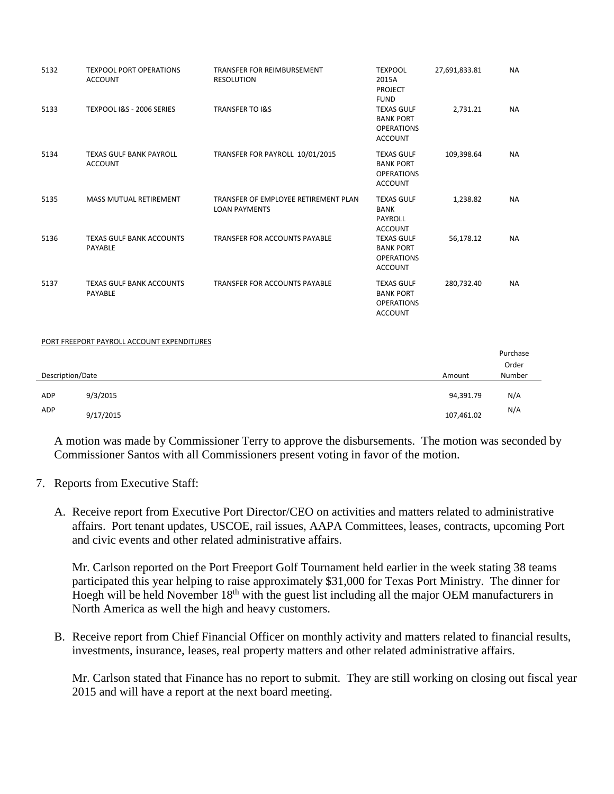| 5132             | <b>TEXPOOL PORT OPERATIONS</b><br><b>ACCOUNT</b> | TRANSFER FOR REIMBURSEMENT<br><b>RESOLUTION</b>              | <b>TEXPOOL</b><br>2015A<br><b>PROJECT</b><br><b>FUND</b>                     | 27,691,833.81 | <b>NA</b>       |
|------------------|--------------------------------------------------|--------------------------------------------------------------|------------------------------------------------------------------------------|---------------|-----------------|
| 5133             | TEXPOOL I&S - 2006 SERIES                        | <b>TRANSFER TO I&amp;S</b>                                   | <b>TEXAS GULF</b><br><b>BANK PORT</b><br><b>OPERATIONS</b><br><b>ACCOUNT</b> | 2,731.21      | <b>NA</b>       |
| 5134             | TEXAS GULF BANK PAYROLL<br><b>ACCOUNT</b>        | TRANSFER FOR PAYROLL 10/01/2015                              | <b>TEXAS GULF</b><br><b>BANK PORT</b><br><b>OPERATIONS</b><br><b>ACCOUNT</b> | 109,398.64    | <b>NA</b>       |
| 5135             | <b>MASS MUTUAL RETIREMENT</b>                    | TRANSFER OF EMPLOYEE RETIREMENT PLAN<br><b>LOAN PAYMENTS</b> | <b>TEXAS GULF</b><br><b>BANK</b><br>PAYROLL<br><b>ACCOUNT</b>                | 1,238.82      | <b>NA</b>       |
| 5136             | <b>TEXAS GULF BANK ACCOUNTS</b><br>PAYABLE       | TRANSFER FOR ACCOUNTS PAYABLE                                | <b>TEXAS GULF</b><br><b>BANK PORT</b><br><b>OPERATIONS</b><br><b>ACCOUNT</b> | 56,178.12     | <b>NA</b>       |
| 5137             | <b>TEXAS GULF BANK ACCOUNTS</b><br>PAYABLE       | TRANSFER FOR ACCOUNTS PAYABLE                                | <b>TEXAS GULF</b><br><b>BANK PORT</b><br><b>OPERATIONS</b><br><b>ACCOUNT</b> | 280,732.40    | <b>NA</b>       |
|                  | PORT FREEPORT PAYROLL ACCOUNT EXPENDITURES       |                                                              |                                                                              |               |                 |
|                  |                                                  |                                                              |                                                                              |               | Purchase        |
| Description/Date |                                                  |                                                              |                                                                              | Amount        | Order<br>Number |
| ADP              | 9/3/2015                                         |                                                              |                                                                              | 94,391.79     | N/A             |
| ADP              | 9/17/2015                                        |                                                              |                                                                              | 107,461.02    | N/A             |

A motion was made by Commissioner Terry to approve the disbursements. The motion was seconded by Commissioner Santos with all Commissioners present voting in favor of the motion.

- 7. Reports from Executive Staff:
	- A. Receive report from Executive Port Director/CEO on activities and matters related to administrative affairs. Port tenant updates, USCOE, rail issues, AAPA Committees, leases, contracts, upcoming Port and civic events and other related administrative affairs.

Mr. Carlson reported on the Port Freeport Golf Tournament held earlier in the week stating 38 teams participated this year helping to raise approximately \$31,000 for Texas Port Ministry. The dinner for Hoegh will be held November  $18<sup>th</sup>$  with the guest list including all the major OEM manufacturers in North America as well the high and heavy customers.

B. Receive report from Chief Financial Officer on monthly activity and matters related to financial results, investments, insurance, leases, real property matters and other related administrative affairs.

Mr. Carlson stated that Finance has no report to submit. They are still working on closing out fiscal year 2015 and will have a report at the next board meeting.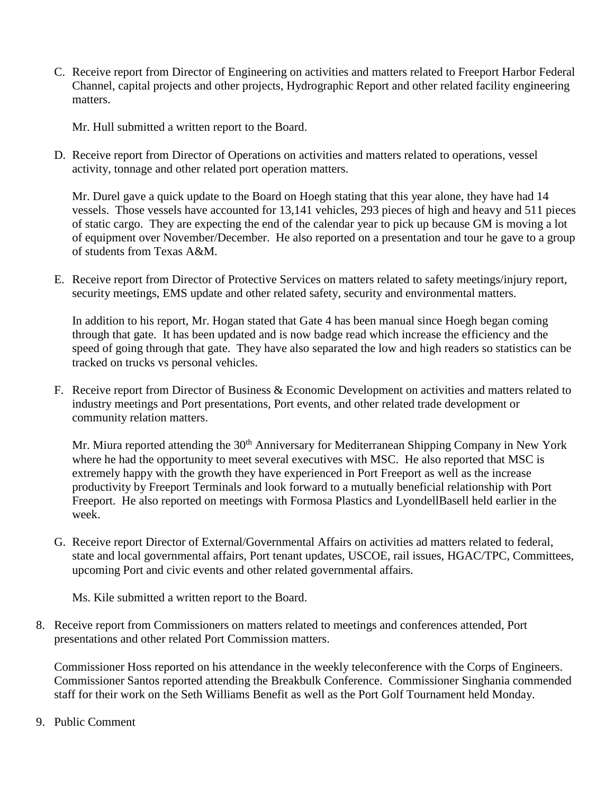C. Receive report from Director of Engineering on activities and matters related to Freeport Harbor Federal Channel, capital projects and other projects, Hydrographic Report and other related facility engineering matters.

Mr. Hull submitted a written report to the Board.

D. Receive report from Director of Operations on activities and matters related to operations, vessel activity, tonnage and other related port operation matters.

Mr. Durel gave a quick update to the Board on Hoegh stating that this year alone, they have had 14 vessels. Those vessels have accounted for 13,141 vehicles, 293 pieces of high and heavy and 511 pieces of static cargo. They are expecting the end of the calendar year to pick up because GM is moving a lot of equipment over November/December. He also reported on a presentation and tour he gave to a group of students from Texas A&M.

E. Receive report from Director of Protective Services on matters related to safety meetings/injury report, security meetings, EMS update and other related safety, security and environmental matters.

In addition to his report, Mr. Hogan stated that Gate 4 has been manual since Hoegh began coming through that gate. It has been updated and is now badge read which increase the efficiency and the speed of going through that gate. They have also separated the low and high readers so statistics can be tracked on trucks vs personal vehicles.

F. Receive report from Director of Business & Economic Development on activities and matters related to industry meetings and Port presentations, Port events, and other related trade development or community relation matters.

Mr. Miura reported attending the 30<sup>th</sup> Anniversary for Mediterranean Shipping Company in New York where he had the opportunity to meet several executives with MSC. He also reported that MSC is extremely happy with the growth they have experienced in Port Freeport as well as the increase productivity by Freeport Terminals and look forward to a mutually beneficial relationship with Port Freeport. He also reported on meetings with Formosa Plastics and LyondellBasell held earlier in the week.

G. Receive report Director of External/Governmental Affairs on activities ad matters related to federal, state and local governmental affairs, Port tenant updates, USCOE, rail issues, HGAC/TPC, Committees, upcoming Port and civic events and other related governmental affairs.

Ms. Kile submitted a written report to the Board.

8. Receive report from Commissioners on matters related to meetings and conferences attended, Port presentations and other related Port Commission matters.

Commissioner Hoss reported on his attendance in the weekly teleconference with the Corps of Engineers. Commissioner Santos reported attending the Breakbulk Conference. Commissioner Singhania commended staff for their work on the Seth Williams Benefit as well as the Port Golf Tournament held Monday.

9. Public Comment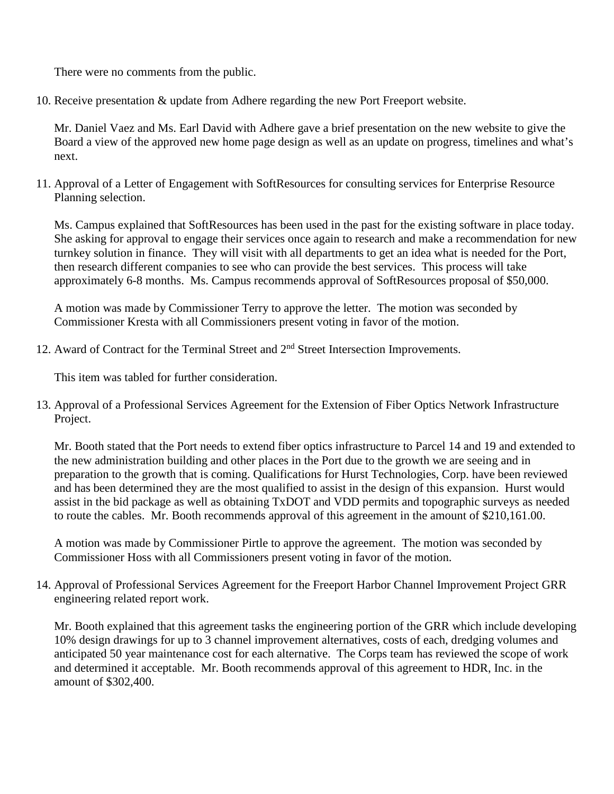There were no comments from the public.

10. Receive presentation & update from Adhere regarding the new Port Freeport website.

Mr. Daniel Vaez and Ms. Earl David with Adhere gave a brief presentation on the new website to give the Board a view of the approved new home page design as well as an update on progress, timelines and what's next.

11. Approval of a Letter of Engagement with SoftResources for consulting services for Enterprise Resource Planning selection.

Ms. Campus explained that SoftResources has been used in the past for the existing software in place today. She asking for approval to engage their services once again to research and make a recommendation for new turnkey solution in finance. They will visit with all departments to get an idea what is needed for the Port, then research different companies to see who can provide the best services. This process will take approximately 6-8 months. Ms. Campus recommends approval of SoftResources proposal of \$50,000.

A motion was made by Commissioner Terry to approve the letter. The motion was seconded by Commissioner Kresta with all Commissioners present voting in favor of the motion.

12. Award of Contract for the Terminal Street and 2<sup>nd</sup> Street Intersection Improvements.

This item was tabled for further consideration.

13. Approval of a Professional Services Agreement for the Extension of Fiber Optics Network Infrastructure Project.

Mr. Booth stated that the Port needs to extend fiber optics infrastructure to Parcel 14 and 19 and extended to the new administration building and other places in the Port due to the growth we are seeing and in preparation to the growth that is coming. Qualifications for Hurst Technologies, Corp. have been reviewed and has been determined they are the most qualified to assist in the design of this expansion. Hurst would assist in the bid package as well as obtaining TxDOT and VDD permits and topographic surveys as needed to route the cables. Mr. Booth recommends approval of this agreement in the amount of \$210,161.00.

A motion was made by Commissioner Pirtle to approve the agreement. The motion was seconded by Commissioner Hoss with all Commissioners present voting in favor of the motion.

14. Approval of Professional Services Agreement for the Freeport Harbor Channel Improvement Project GRR engineering related report work.

Mr. Booth explained that this agreement tasks the engineering portion of the GRR which include developing 10% design drawings for up to 3 channel improvement alternatives, costs of each, dredging volumes and anticipated 50 year maintenance cost for each alternative. The Corps team has reviewed the scope of work and determined it acceptable. Mr. Booth recommends approval of this agreement to HDR, Inc. in the amount of \$302,400.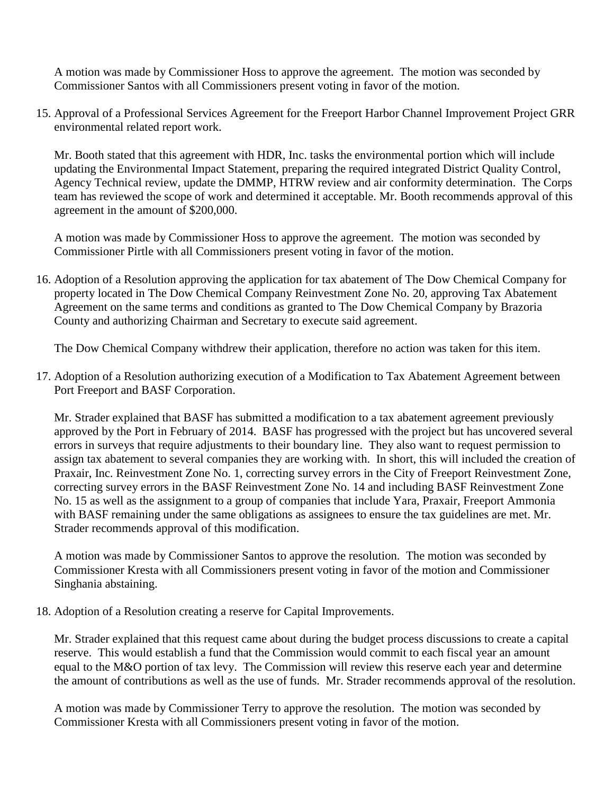A motion was made by Commissioner Hoss to approve the agreement. The motion was seconded by Commissioner Santos with all Commissioners present voting in favor of the motion.

15. Approval of a Professional Services Agreement for the Freeport Harbor Channel Improvement Project GRR environmental related report work.

Mr. Booth stated that this agreement with HDR, Inc. tasks the environmental portion which will include updating the Environmental Impact Statement, preparing the required integrated District Quality Control, Agency Technical review, update the DMMP, HTRW review and air conformity determination. The Corps team has reviewed the scope of work and determined it acceptable. Mr. Booth recommends approval of this agreement in the amount of \$200,000.

A motion was made by Commissioner Hoss to approve the agreement. The motion was seconded by Commissioner Pirtle with all Commissioners present voting in favor of the motion.

16. Adoption of a Resolution approving the application for tax abatement of The Dow Chemical Company for property located in The Dow Chemical Company Reinvestment Zone No. 20, approving Tax Abatement Agreement on the same terms and conditions as granted to The Dow Chemical Company by Brazoria County and authorizing Chairman and Secretary to execute said agreement.

The Dow Chemical Company withdrew their application, therefore no action was taken for this item.

17. Adoption of a Resolution authorizing execution of a Modification to Tax Abatement Agreement between Port Freeport and BASF Corporation.

Mr. Strader explained that BASF has submitted a modification to a tax abatement agreement previously approved by the Port in February of 2014. BASF has progressed with the project but has uncovered several errors in surveys that require adjustments to their boundary line. They also want to request permission to assign tax abatement to several companies they are working with. In short, this will included the creation of Praxair, Inc. Reinvestment Zone No. 1, correcting survey errors in the City of Freeport Reinvestment Zone, correcting survey errors in the BASF Reinvestment Zone No. 14 and including BASF Reinvestment Zone No. 15 as well as the assignment to a group of companies that include Yara, Praxair, Freeport Ammonia with BASF remaining under the same obligations as assignees to ensure the tax guidelines are met. Mr. Strader recommends approval of this modification.

A motion was made by Commissioner Santos to approve the resolution. The motion was seconded by Commissioner Kresta with all Commissioners present voting in favor of the motion and Commissioner Singhania abstaining.

18. Adoption of a Resolution creating a reserve for Capital Improvements.

Mr. Strader explained that this request came about during the budget process discussions to create a capital reserve. This would establish a fund that the Commission would commit to each fiscal year an amount equal to the M&O portion of tax levy. The Commission will review this reserve each year and determine the amount of contributions as well as the use of funds. Mr. Strader recommends approval of the resolution.

A motion was made by Commissioner Terry to approve the resolution. The motion was seconded by Commissioner Kresta with all Commissioners present voting in favor of the motion.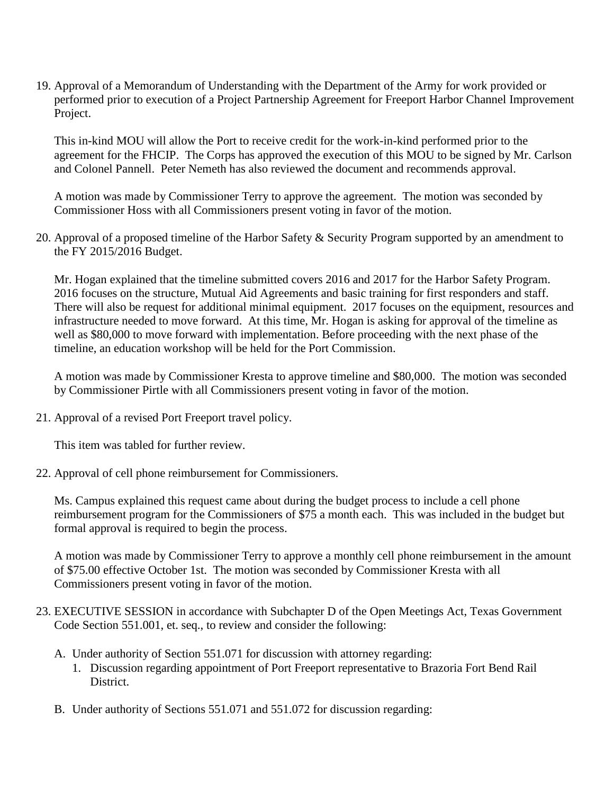19. Approval of a Memorandum of Understanding with the Department of the Army for work provided or performed prior to execution of a Project Partnership Agreement for Freeport Harbor Channel Improvement Project.

This in-kind MOU will allow the Port to receive credit for the work-in-kind performed prior to the agreement for the FHCIP. The Corps has approved the execution of this MOU to be signed by Mr. Carlson and Colonel Pannell. Peter Nemeth has also reviewed the document and recommends approval.

A motion was made by Commissioner Terry to approve the agreement. The motion was seconded by Commissioner Hoss with all Commissioners present voting in favor of the motion.

20. Approval of a proposed timeline of the Harbor Safety & Security Program supported by an amendment to the FY 2015/2016 Budget.

Mr. Hogan explained that the timeline submitted covers 2016 and 2017 for the Harbor Safety Program. 2016 focuses on the structure, Mutual Aid Agreements and basic training for first responders and staff. There will also be request for additional minimal equipment. 2017 focuses on the equipment, resources and infrastructure needed to move forward. At this time, Mr. Hogan is asking for approval of the timeline as well as \$80,000 to move forward with implementation. Before proceeding with the next phase of the timeline, an education workshop will be held for the Port Commission.

A motion was made by Commissioner Kresta to approve timeline and \$80,000. The motion was seconded by Commissioner Pirtle with all Commissioners present voting in favor of the motion.

21. Approval of a revised Port Freeport travel policy.

This item was tabled for further review.

22. Approval of cell phone reimbursement for Commissioners.

Ms. Campus explained this request came about during the budget process to include a cell phone reimbursement program for the Commissioners of \$75 a month each. This was included in the budget but formal approval is required to begin the process.

A motion was made by Commissioner Terry to approve a monthly cell phone reimbursement in the amount of \$75.00 effective October 1st. The motion was seconded by Commissioner Kresta with all Commissioners present voting in favor of the motion.

- 23. EXECUTIVE SESSION in accordance with Subchapter D of the Open Meetings Act, Texas Government Code Section 551.001, et. seq., to review and consider the following:
	- A. Under authority of Section 551.071 for discussion with attorney regarding:
		- 1. Discussion regarding appointment of Port Freeport representative to Brazoria Fort Bend Rail District.
	- B. Under authority of Sections 551.071 and 551.072 for discussion regarding: